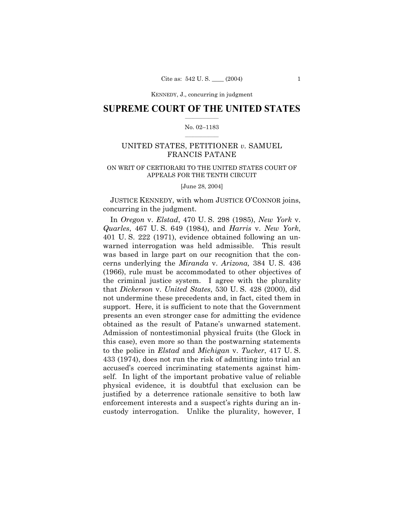KENNEDY, J., concurring in judgment

### **SUPREME COURT OF THE UNITED STATES**  $\mathcal{L}=\mathcal{L}^{\mathcal{L}}$

#### No. 02-1183  $\mathcal{L}=\mathcal{L}^{\mathcal{L}}$

# UNITED STATES, PETITIONER *v.* SAMUEL FRANCIS PATANE

### ON WRIT OF CERTIORARI TO THE UNITED STATES COURT OF APPEALS FOR THE TENTH CIRCUIT

[June 28, 2004]

JUSTICE KENNEDY, with whom JUSTICE O'CONNOR joins, concurring in the judgment.

In *Oregon* v. *Elstad*, 470 U. S. 298 (1985), *New York* v. *Quarles*, 467 U. S. 649 (1984), and *Harris* v. *New York*, 401 U. S. 222 (1971), evidence obtained following an unwarned interrogation was held admissible. This result was based in large part on our recognition that the concerns underlying the *Miranda* v. *Arizona,* 384 U. S. 436 (1966), rule must be accommodated to other objectives of the criminal justice system. I agree with the plurality that *Dickerson* v. *United States*, 530 U. S. 428 (2000), did not undermine these precedents and, in fact, cited them in support. Here, it is sufficient to note that the Government presents an even stronger case for admitting the evidence obtained as the result of Pataneís unwarned statement. Admission of nontestimonial physical fruits (the Glock in this case), even more so than the postwarning statements to the police in *Elstad* and *Michigan* v. *Tucker*, 417 U. S. 433 (1974), does not run the risk of admitting into trial an accused's coerced incriminating statements against himself. In light of the important probative value of reliable physical evidence, it is doubtful that exclusion can be justified by a deterrence rationale sensitive to both law enforcement interests and a suspect's rights during an incustody interrogation. Unlike the plurality, however, I